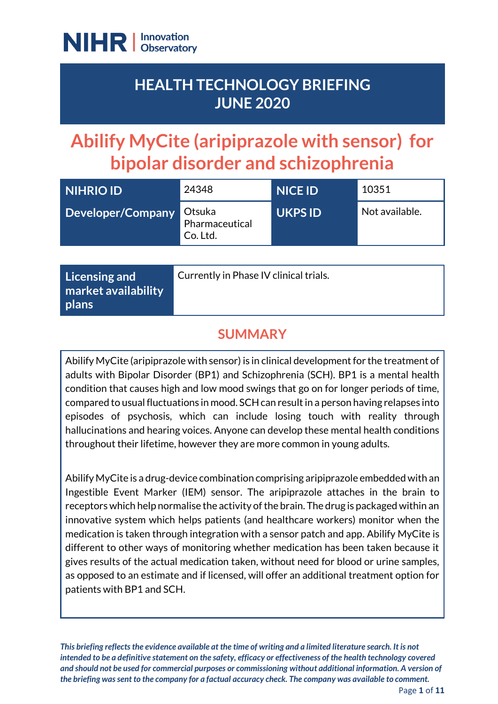

# **HEALTH TECHNOLOGY BRIEFING JUNE 2020**

# **Abilify MyCite (aripiprazole with sensor) for bipolar disorder and schizophrenia**

| NIHRIO ID         | 24348                                | <b>NICE ID</b> | 10351          |
|-------------------|--------------------------------------|----------------|----------------|
| Developer/Company | Otsuka<br>Pharmaceutical<br>Co. Ltd. | <b>UKPS ID</b> | Not available. |

| Licensing and       | Currently in Phase IV clinical trials. |
|---------------------|----------------------------------------|
| market availability |                                        |
| plans               |                                        |

# **SUMMARY**

Abilify MyCite (aripiprazole with sensor) is in clinical development for the treatment of adults with Bipolar Disorder (BP1) and Schizophrenia (SCH). BP1 is a mental health condition that causes high and low mood swings that go on for longer periods of time, compared to usual fluctuations in mood. SCH can result in a person having relapses into episodes of psychosis, which can include losing touch with reality through hallucinations and hearing voices. Anyone can develop these mental health conditions throughout their lifetime, however they are more common in young adults.

Abilify MyCite is a drug-device combination comprising aripiprazole embedded with an Ingestible Event Marker (IEM) sensor. The aripiprazole attaches in the brain to receptors which help normalise the activity of the brain. The drug is packaged within an innovative system which helps patients (and healthcare workers) monitor when the medication is taken through integration with a sensor patch and app. Abilify MyCite is different to other ways of monitoring whether medication has been taken because it gives results of the actual medication taken, without need for blood or urine samples, as opposed to an estimate and if licensed, will offer an additional treatment option for patients with BP1 and SCH.

*This briefing reflects the evidence available at the time of writing and a limited literature search. It is not intended to be a definitive statement on the safety, efficacy or effectiveness of the health technology covered and should not be used for commercial purposes or commissioning without additional information. A version of the briefing was sent to the company for a factual accuracy check. The company was available to comment.*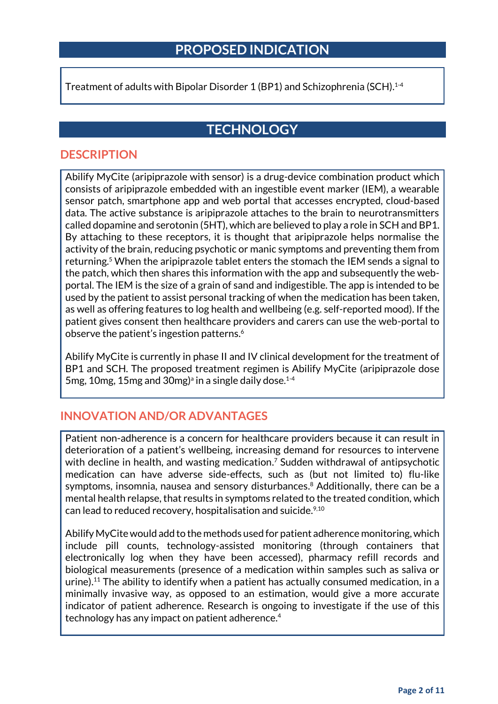## **PROPOSED INDICATION**

Treatment of adults with Bipolar Disorder 1 (BP1) and Schizophrenia (SCH). 1-4

## **TECHNOLOGY**

### **DESCRIPTION**

Abilify MyCite (aripiprazole with sensor) is a drug-device combination product which consists of aripiprazole embedded with an ingestible event marker (IEM), a wearable sensor patch, smartphone app and web portal that accesses encrypted, cloud-based data. The active substance is aripiprazole attaches to the brain to neurotransmitters called dopamine and serotonin (5HT), which are believed to play a role in SCH and BP1. By attaching to these receptors, it is thought that aripiprazole helps normalise the activity of the brain, reducing psychotic or manic symptoms and preventing them from returning.<sup>5</sup> When the aripiprazole tablet enters the stomach the IEM sends a signal to the patch, which then shares this information with the app and subsequently the webportal. The IEM is the size of a grain of sand and indigestible. The app is intended to be used by the patient to assist personal tracking of when the medication has been taken, as well as offering features to log health and wellbeing (e.g. self-reported mood). If the patient gives consent then healthcare providers and carers can use the web-portal to observe the patient's ingestion patterns. 6

Abilify MyCite is currently in phase II and IV clinical development for the treatment of BP1 and SCH. The proposed treatment regimen is Abilify MyCite (aripiprazole dose 5mg, 10mg, 15mg and 30mg)<sup>a</sup> in a single daily dose.<sup>1-4</sup>

### **INNOVATION AND/OR ADVANTAGES**

Patient non-adherence is a concern for healthcare providers because it can result in deterioration of a patient's wellbeing, increasing demand for resources to intervene with decline in health, and wasting medication. <sup>7</sup> Sudden withdrawal of antipsychotic medication can have adverse side-effects, such as (but not limited to) flu-like symptoms, insomnia, nausea and sensory disturbances. <sup>8</sup> Additionally, there can be a mental health relapse, that results in symptoms related to the treated condition, which can lead to reduced recovery, hospitalisation and suicide. $^{9,10}$ 

Abilify MyCitewould add to the methods used for patient adherence monitoring, which include pill counts, technology-assisted monitoring (through containers that electronically log when they have been accessed), pharmacy refill records and biological measurements (presence of a medication within samples such as saliva or urine). <sup>11</sup> The ability to identify when a patient has actually consumed medication, in a minimally invasive way, as opposed to an estimation, would give a more accurate indicator of patient adherence. Research is ongoing to investigate if the use of this technology has any impact on patient adherence. 4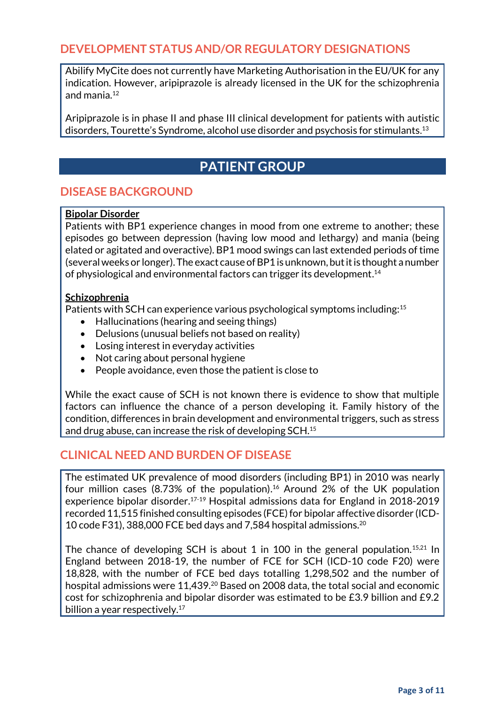### **DEVELOPMENT STATUS AND/OR REGULATORY DESIGNATIONS**

Abilify MyCite does not currently have Marketing Authorisation in the EU/UK for any indication. However, aripiprazole is already licensed in the UK for the schizophrenia and mania.<sup>12</sup>

Aripiprazole is in phase II and phase III clinical development for patients with autistic disorders, Tourette's Syndrome, alcohol use disorder and psychosis for stimulants. 13

### **PATIENT GROUP**

#### **DISEASE BACKGROUND**

#### **Bipolar Disorder**

Patients with BP1 experience changes in mood from one extreme to another; these episodes go between depression (having low mood and lethargy) and mania (being elated or agitated and overactive). BP1 mood swings can last extended periods of time (several weeks or longer). The exact cause of BP1 is unknown, but it is thought a number of physiological and environmental factors can trigger its development. 14

#### **Schizophrenia**

Patients with SCH can experience various psychological symptoms including:<sup>15</sup>

- Hallucinations (hearing and seeing things)
- Delusions (unusual beliefs not based on reality)
- Losing interest in everyday activities
- Not caring about personal hygiene
- People avoidance, even those the patient is close to

While the exact cause of SCH is not known there is evidence to show that multiple factors can influence the chance of a person developing it. Family history of the condition, differences in brain development and environmental triggers, such as stress and drug abuse, can increase the risk of developing SCH.<sup>15</sup>

### **CLINICAL NEED AND BURDEN OF DISEASE**

The estimated UK prevalence of mood disorders (including BP1) in 2010 was nearly four million cases (8.73% of the population). <sup>16</sup> Around 2% of the UK population experience bipolar disorder.17-19 Hospital admissions data for England in 2018-2019 recorded 11,515 finished consulting episodes (FCE) for bipolar affective disorder (ICD-10 code F31), 388,000 FCE bed days and 7,584 hospital admissions.<sup>20</sup>

The chance of developing SCH is about 1 in 100 in the general population.<sup>15,21</sup> In England between 2018-19, the number of FCE for SCH (ICD-10 code F20) were 18,828, with the number of FCE bed days totalling 1,298,502 and the number of hospital admissions were 11,439.<sup>20</sup> Based on 2008 data, the total social and economic cost for schizophrenia and bipolar disorder was estimated to be £3.9 billion and £9.2 billion a year respectively.<sup>17</sup>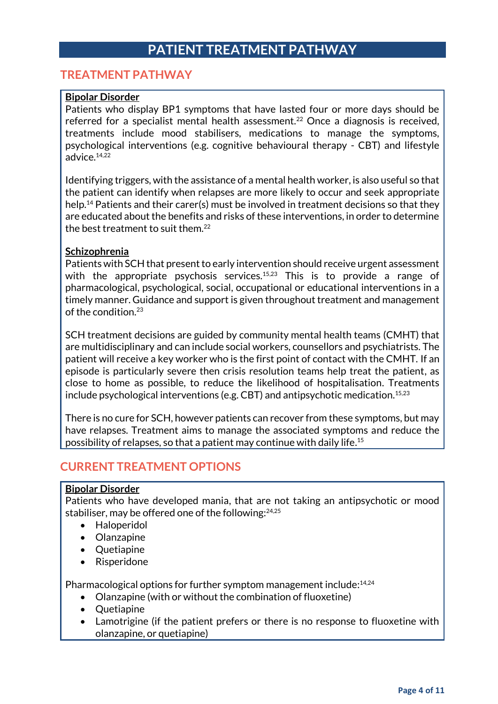# **PATIENT TREATMENT PATHWAY**

### **TREATMENT PATHWAY**

#### **Bipolar Disorder**

Patients who display BP1 symptoms that have lasted four or more days should be referred for a specialist mental health assessment.<sup>22</sup> Once a diagnosis is received, treatments include mood stabilisers, medications to manage the symptoms, psychological interventions (e.g. cognitive behavioural therapy - CBT) and lifestyle advice.14,22

Identifying triggers, with the assistance of a mental health worker, is also useful so that the patient can identify when relapses are more likely to occur and seek appropriate help.<sup>14</sup> Patients and their carer(s) must be involved in treatment decisions so that they are educated about the benefits and risks of these interventions, in order to determine the best treatment to suit them.<sup>22</sup>

#### **Schizophrenia**

Patients with SCH that present to early intervention should receive urgent assessment with the appropriate psychosis services.<sup>15,23</sup> This is to provide a range of pharmacological, psychological, social, occupational or educational interventions in a timely manner. Guidance and support is given throughout treatment and management of the condition.<sup>23</sup>

SCH treatment decisions are guided by community mental health teams (CMHT) that are multidisciplinary and can include social workers, counsellors and psychiatrists. The patient will receive a key worker who is the first point of contact with the CMHT. If an episode is particularly severe then crisis resolution teams help treat the patient, as close to home as possible, to reduce the likelihood of hospitalisation. Treatments include psychological interventions (e.g. CBT) and antipsychotic medication.<sup>15,23</sup>

There is no cure for SCH, however patients can recover from these symptoms, but may have relapses. Treatment aims to manage the associated symptoms and reduce the possibility of relapses, so that a patient may continue with daily life. 15

### **CURRENT TREATMENT OPTIONS**

#### **Bipolar Disorder**

Patients who have developed mania, that are not taking an antipsychotic or mood stabiliser, may be offered one of the following:<sup>24,25</sup>

- Haloperidol
- Olanzapine
- Quetiapine
- Risperidone

Pharmacological options for further symptom management include:<sup>14,24</sup>

- Olanzapine (with or without the combination of fluoxetine)
- **Quetiapine**
- Lamotrigine (if the patient prefers or there is no response to fluoxetine with olanzapine, or quetiapine)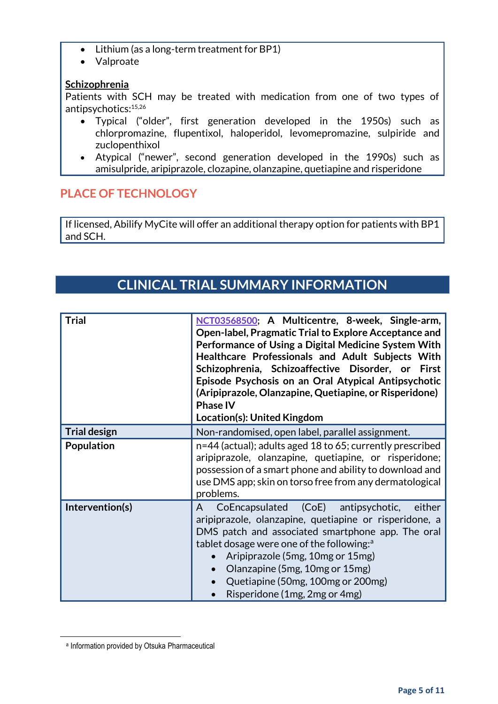- Lithium (as a long-term treatment for BP1)
- Valproate

#### **Schizophrenia**

Patients with SCH may be treated with medication from one of two types of antipsychotics:15,26

- Typical ("older", first generation developed in the 1950s) such as chlorpromazine, flupentixol, haloperidol, levomepromazine, sulpiride and zuclopenthixol
- Atypical ("newer", second generation developed in the 1990s) such as amisulpride, aripiprazole, clozapine, olanzapine, quetiapine and risperidone

### **PLACE OF TECHNOLOGY**

If licensed, Abilify MyCite will offer an additional therapy option for patients with BP1 and SCH.

# **CLINICAL TRIAL SUMMARY INFORMATION**

| <b>Trial</b>        | NCT03568500; A Multicentre, 8-week, Single-arm,<br>Open-label, Pragmatic Trial to Explore Acceptance and<br>Performance of Using a Digital Medicine System With<br>Healthcare Professionals and Adult Subjects With<br>Schizophrenia, Schizoaffective Disorder, or<br><b>First</b><br>Episode Psychosis on an Oral Atypical Antipsychotic<br>(Aripiprazole, Olanzapine, Quetiapine, or Risperidone)<br><b>Phase IV</b><br>Location(s): United Kingdom |
|---------------------|-------------------------------------------------------------------------------------------------------------------------------------------------------------------------------------------------------------------------------------------------------------------------------------------------------------------------------------------------------------------------------------------------------------------------------------------------------|
| <b>Trial design</b> | Non-randomised, open label, parallel assignment.                                                                                                                                                                                                                                                                                                                                                                                                      |
| <b>Population</b>   | n=44 (actual); adults aged 18 to 65; currently prescribed<br>aripiprazole, olanzapine, quetiapine, or risperidone;<br>possession of a smart phone and ability to download and<br>use DMS app; skin on torso free from any dermatological<br>problems.                                                                                                                                                                                                 |
| Intervention(s)     | CoEncapsulated (CoE) antipsychotic,<br>either<br>A<br>aripiprazole, olanzapine, quetiapine or risperidone, a<br>DMS patch and associated smartphone app. The oral<br>tablet dosage were one of the following: <sup>a</sup><br>Aripiprazole (5mg, 10mg or 15mg)<br>Olanzapine (5mg, 10mg or 15mg)<br>Quetiapine (50mg, 100mg or 200mg)<br>Risperidone (1mg, 2mg or 4mg)                                                                                |

**.** 

a Information provided by Otsuka Pharmaceutical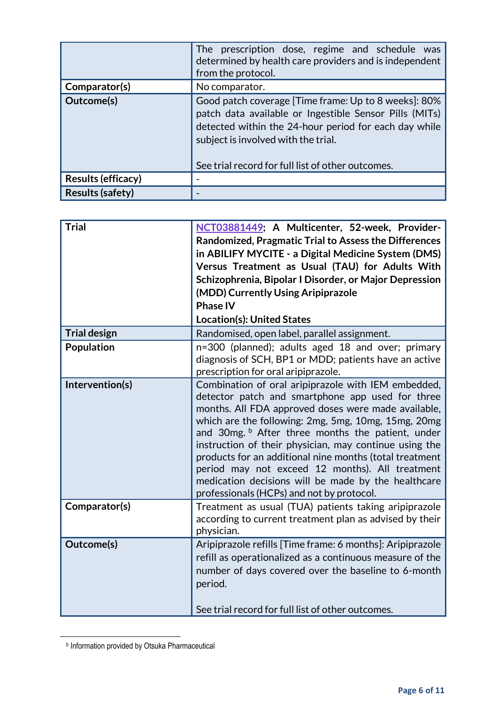|                         | The prescription dose, regime and schedule was<br>determined by health care providers and is independent<br>from the protocol.                                                                                                                                      |
|-------------------------|---------------------------------------------------------------------------------------------------------------------------------------------------------------------------------------------------------------------------------------------------------------------|
| Comparator(s)           | No comparator.                                                                                                                                                                                                                                                      |
| Outcome(s)              | Good patch coverage [Time frame: Up to 8 weeks]: 80%<br>patch data available or Ingestible Sensor Pills (MITs)<br>detected within the 24-hour period for each day while<br>subject is involved with the trial.<br>See trial record for full list of other outcomes. |
| Results (efficacy)      |                                                                                                                                                                                                                                                                     |
| <b>Results (safety)</b> |                                                                                                                                                                                                                                                                     |

| <b>Trial</b>        | NCT03881449; A Multicenter, 52-week, Provider-<br>Randomized, Pragmatic Trial to Assess the Differences<br>in ABILIFY MYCITE - a Digital Medicine System (DMS)<br>Versus Treatment as Usual (TAU) for Adults With<br>Schizophrenia, Bipolar I Disorder, or Major Depression<br>(MDD) Currently Using Aripiprazole<br><b>Phase IV</b><br><b>Location(s): United States</b>                                                                                                                                                                                     |
|---------------------|---------------------------------------------------------------------------------------------------------------------------------------------------------------------------------------------------------------------------------------------------------------------------------------------------------------------------------------------------------------------------------------------------------------------------------------------------------------------------------------------------------------------------------------------------------------|
| <b>Trial design</b> | Randomised, open label, parallel assignment.                                                                                                                                                                                                                                                                                                                                                                                                                                                                                                                  |
| <b>Population</b>   | n=300 (planned); adults aged 18 and over; primary<br>diagnosis of SCH, BP1 or MDD; patients have an active<br>prescription for oral aripiprazole.                                                                                                                                                                                                                                                                                                                                                                                                             |
| Intervention(s)     | Combination of oral aripiprazole with IEM embedded,<br>detector patch and smartphone app used for three<br>months. All FDA approved doses were made available,<br>which are the following: 2mg, 5mg, 10mg, 15mg, 20mg<br>and 30mg. <b>b</b> After three months the patient, under<br>instruction of their physician, may continue using the<br>products for an additional nine months (total treatment<br>period may not exceed 12 months). All treatment<br>medication decisions will be made by the healthcare<br>professionals (HCPs) and not by protocol. |
| Comparator(s)       | Treatment as usual (TUA) patients taking aripiprazole<br>according to current treatment plan as advised by their<br>physician.                                                                                                                                                                                                                                                                                                                                                                                                                                |
| Outcome(s)          | Aripiprazole refills [Time frame: 6 months]: Aripiprazole<br>refill as operationalized as a continuous measure of the<br>number of days covered over the baseline to 6-month<br>period.<br>See trial record for full list of other outcomes.                                                                                                                                                                                                                                                                                                                  |

b Information provided by Otsuka Pharmaceutical

**.**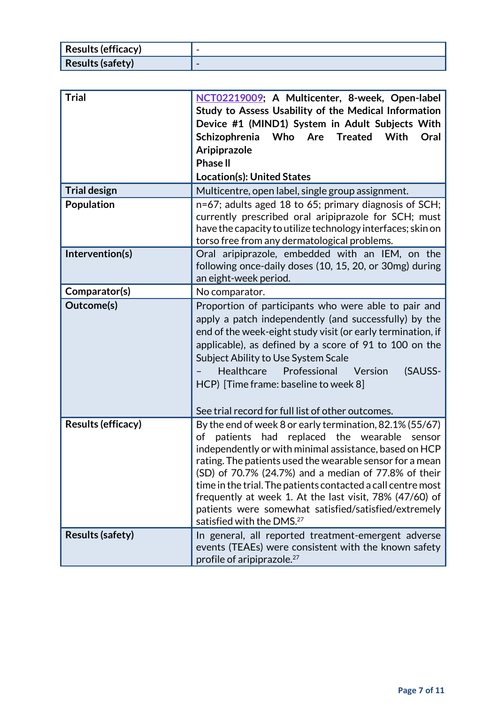| <b>Results (efficacy)</b> | $\overline{\phantom{0}}$ |
|---------------------------|--------------------------|
| <b>Results (safety)</b>   | $\overline{\phantom{0}}$ |

| <b>Trial</b>              | NCT02219009; A Multicenter, 8-week, Open-label<br>Study to Assess Usability of the Medical Information<br>Device #1 (MIND1) System in Adult Subjects With<br>Schizophrenia<br>Who Are Treated<br>With<br>Oral<br>Aripiprazole<br><b>Phase II</b><br><b>Location(s): United States</b>                                                                                                                                                                                                                                       |
|---------------------------|-----------------------------------------------------------------------------------------------------------------------------------------------------------------------------------------------------------------------------------------------------------------------------------------------------------------------------------------------------------------------------------------------------------------------------------------------------------------------------------------------------------------------------|
| <b>Trial design</b>       | Multicentre, open label, single group assignment.                                                                                                                                                                                                                                                                                                                                                                                                                                                                           |
| Population                | n=67; adults aged 18 to 65; primary diagnosis of SCH;<br>currently prescribed oral aripiprazole for SCH; must<br>have the capacity to utilize technology interfaces; skin on<br>torso free from any dermatological problems.                                                                                                                                                                                                                                                                                                |
| Intervention(s)           | Oral aripiprazole, embedded with an IEM, on the<br>following once-daily doses (10, 15, 20, or 30mg) during<br>an eight-week period.                                                                                                                                                                                                                                                                                                                                                                                         |
| Comparator(s)             | No comparator.                                                                                                                                                                                                                                                                                                                                                                                                                                                                                                              |
| Outcome(s)                | Proportion of participants who were able to pair and<br>apply a patch independently (and successfully) by the<br>end of the week-eight study visit (or early termination, if<br>applicable), as defined by a score of 91 to 100 on the<br>Subject Ability to Use System Scale<br><b>Healthcare</b><br>Professional<br>(SAUSS-<br>Version<br>HCP) [Time frame: baseline to week 8]<br>See trial record for full list of other outcomes.                                                                                      |
| <b>Results (efficacy)</b> | By the end of week 8 or early termination, 82.1% (55/67)<br>replaced the wearable<br>patients had<br>of<br>sensor<br>independently or with minimal assistance, based on HCP<br>rating. The patients used the wearable sensor for a mean<br>(SD) of 70.7% (24.7%) and a median of 77.8% of their<br>time in the trial. The patients contacted a call centre most<br>frequently at week 1. At the last visit, 78% (47/60) of<br>patients were somewhat satisfied/satisfied/extremely<br>satisfied with the DMS. <sup>27</sup> |
| <b>Results (safety)</b>   | In general, all reported treatment-emergent adverse<br>events (TEAEs) were consistent with the known safety<br>profile of aripiprazole. <sup>27</sup>                                                                                                                                                                                                                                                                                                                                                                       |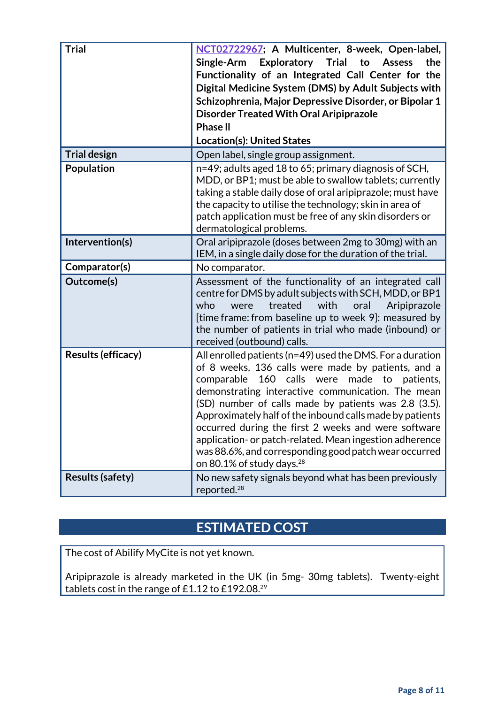| <b>Trial</b>              | NCT02722967; A Multicenter, 8-week, Open-label,<br>Exploratory<br>the<br>Single-Arm<br>Trial<br>to<br><b>Assess</b><br>Functionality of an Integrated Call Center for the<br>Digital Medicine System (DMS) by Adult Subjects with<br>Schizophrenia, Major Depressive Disorder, or Bipolar 1<br><b>Disorder Treated With Oral Aripiprazole</b><br><b>Phase II</b><br><b>Location(s): United States</b>                                                                                                                                                          |
|---------------------------|----------------------------------------------------------------------------------------------------------------------------------------------------------------------------------------------------------------------------------------------------------------------------------------------------------------------------------------------------------------------------------------------------------------------------------------------------------------------------------------------------------------------------------------------------------------|
| <b>Trial design</b>       | Open label, single group assignment.                                                                                                                                                                                                                                                                                                                                                                                                                                                                                                                           |
| Population                | n=49; adults aged 18 to 65; primary diagnosis of SCH,<br>MDD, or BP1; must be able to swallow tablets; currently<br>taking a stable daily dose of oral aripiprazole; must have<br>the capacity to utilise the technology; skin in area of<br>patch application must be free of any skin disorders or<br>dermatological problems.                                                                                                                                                                                                                               |
| Intervention(s)           | Oral aripiprazole (doses between 2mg to 30mg) with an<br>IEM, in a single daily dose for the duration of the trial.                                                                                                                                                                                                                                                                                                                                                                                                                                            |
| Comparator(s)             | No comparator.                                                                                                                                                                                                                                                                                                                                                                                                                                                                                                                                                 |
| Outcome(s)                | Assessment of the functionality of an integrated call<br>centre for DMS by adult subjects with SCH, MDD, or BP1<br>who<br>treated<br>with<br>oral<br>Aripiprazole<br>were<br>[time frame: from baseline up to week 9]: measured by<br>the number of patients in trial who made (inbound) or<br>received (outbound) calls.                                                                                                                                                                                                                                      |
| <b>Results (efficacy)</b> | All enrolled patients (n=49) used the DMS. For a duration<br>of 8 weeks, 136 calls were made by patients, and a<br>comparable<br>160 calls were made to patients,<br>demonstrating interactive communication. The mean<br>(SD) number of calls made by patients was 2.8 (3.5).<br>Approximately half of the inbound calls made by patients<br>occurred during the first 2 weeks and were software<br>application- or patch-related. Mean ingestion adherence<br>was 88.6%, and corresponding good patch wear occurred<br>on 80.1% of study days. <sup>28</sup> |
| <b>Results (safety)</b>   | No new safety signals beyond what has been previously<br>reported. <sup>28</sup>                                                                                                                                                                                                                                                                                                                                                                                                                                                                               |

# **ESTIMATED COST**

The cost of Abilify MyCite is not yet known.

Aripiprazole is already marketed in the UK (in 5mg- 30mg tablets). Twenty-eight tablets cost in the range of £1.12 to £192.08.<sup>29</sup>  $\overline{a}$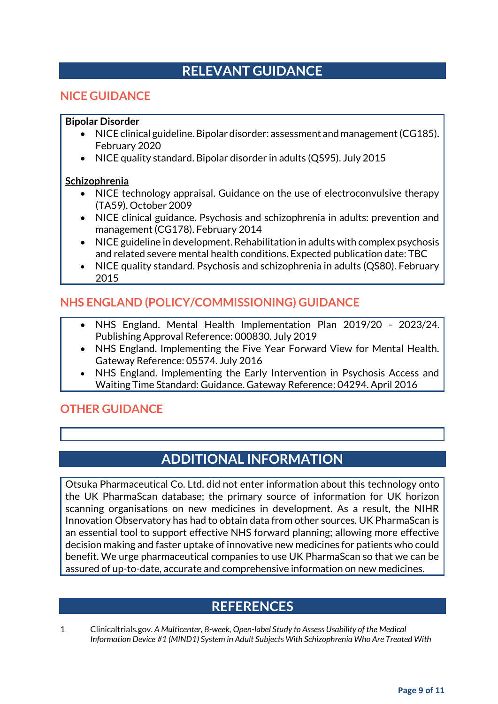# **RELEVANT GUIDANCE**

### **NICE GUIDANCE**

#### **Bipolar Disorder**

- NICE clinical guideline. Bipolar disorder: assessment and management (CG185). February 2020
- NICE quality standard. Bipolar disorder in adults (QS95). July 2015

#### **Schizophrenia**

- NICE technology appraisal. Guidance on the use of electroconvulsive therapy (TA59). October 2009
- NICE clinical guidance. Psychosis and schizophrenia in adults: prevention and management (CG178). February 2014
- NICE guideline in development. Rehabilitation in adults with complex psychosis and related severe mental health conditions. Expected publication date: TBC
- NICE quality standard. Psychosis and schizophrenia in adults (QS80). February 2015

### **NHS ENGLAND (POLICY/COMMISSIONING) GUIDANCE**

- NHS England. Mental Health Implementation Plan 2019/20 2023/24. Publishing Approval Reference: 000830. July 2019
- NHS England. Implementing the Five Year Forward View for Mental Health. Gateway Reference: 05574. July 2016
- NHS England. Implementing the Early Intervention in Psychosis Access and Waiting Time Standard: Guidance. Gateway Reference: 04294. April 2016

### **OTHER GUIDANCE**

# **ADDITIONAL INFORMATION**

Otsuka Pharmaceutical Co. Ltd. did not enter information about this technology onto the UK PharmaScan database; the primary source of information for UK horizon scanning organisations on new medicines in development. As a result, the NIHR Innovation Observatory has had to obtain data from other sources. UK PharmaScan is an essential tool to support effective NHS forward planning; allowing more effective decision making and faster uptake of innovative new medicines for patients who could benefit. We urge pharmaceutical companies to use UK PharmaScan so that we can be assured of up-to-date, accurate and comprehensive information on new medicines.

# **REFERENCES**

1 Clinicaltrials.gov. *A Multicenter, 8-week, Open-label Study to Assess Usability of the Medical Information Device #1 (MIND1) System in Adult Subjects With Schizophrenia Who Are Treated With*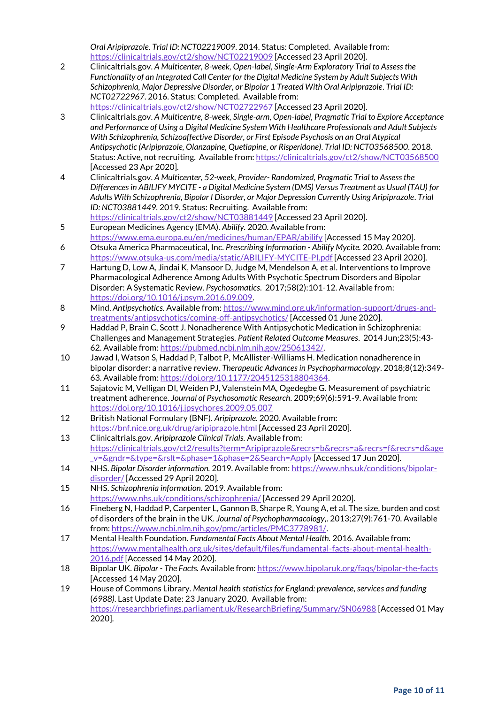*Oral Aripiprazole*. *Trial ID: NCT02219009*. 2014. Status: Completed. Available from: <https://clinicaltrials.gov/ct2/show/NCT02219009> [Accessed 23 April 2020].

- 2 Clinicaltrials.gov. *A Multicenter, 8-week, Open-label, Single-Arm Exploratory Trial to Assess the Functionality of an Integrated Call Center for the Digital Medicine System by Adult Subjects With Schizophrenia, Major Depressive Disorder, or Bipolar 1 Treated With Oral Aripiprazole*. *Trial ID: NCT02722967*. 2016. Status: Completed. Available from: <https://clinicaltrials.gov/ct2/show/NCT02722967> [Accessed 23 April 2020].
- 3 Clinicaltrials.gov. *A Multicentre, 8-week, Single-arm, Open-label, Pragmatic Trial to Explore Acceptance and Performance of Using a Digital Medicine System With Healthcare Professionals and Adult Subjects With Schizophrenia, Schizoaffective Disorder, or First Episode Psychosis on an Oral Atypical Antipsychotic (Aripiprazole, Olanzapine, Quetiapine, or Risperidone)*. *Trial ID: NCT03568500*. 2018. Status: Active, not recruiting. Available from[: https://clinicaltrials.gov/ct2/show/NCT03568500](https://clinicaltrials.gov/ct2/show/NCT03568500) [Accessed 23 Apr 2020].
- 4 Clinicaltrials.gov. *A Multicenter, 52-week, Provider- Randomized, Pragmatic Trial to Assess the Differences in ABILIFY MYCITE - a Digital Medicine System (DMS) Versus Treatment as Usual (TAU) for Adults With Schizophrenia, Bipolar I Disorder, or Major Depression Currently Using Aripiprazole*. *Trial ID: NCT03881449*. 2019. Status: Recruiting. Available from:
	- <https://clinicaltrials.gov/ct2/show/NCT03881449> [Accessed 23 April 2020].
- 5 European Medicines Agency (EMA). *Abilify.* 2020. Available from:
- <https://www.ema.europa.eu/en/medicines/human/EPAR/abilify> [Accessed 15 May 2020]. 6 Otsuka America Pharmaceutical, Inc. *Prescribing Information - Abilify Mycite.* 2020. Available from: <https://www.otsuka-us.com/media/static/ABILIFY-MYCITE-PI.pdf> [Accessed 23 April 2020].
- 7 Hartung D, Low A, Jindai K, Mansoor D, Judge M, Mendelson A, et al. Interventions to Improve Pharmacological Adherence Among Adults With Psychotic Spectrum Disorders and Bipolar Disorder: A Systematic Review. *Psychosomatics*. 2017;58(2):101-12. Available from: [https://doi.org/10.1016/j.psym.2016.09.009.](https://doi.org/10.1016/j.psym.2016.09.009)
- 8 Mind. Antipsychotics. Available from: [https://www.mind.org.uk/information-support/drugs-and](https://www.mind.org.uk/information-support/drugs-and-treatments/antipsychotics/coming-off-antipsychotics/)[treatments/antipsychotics/coming-off-antipsychotics/](https://www.mind.org.uk/information-support/drugs-and-treatments/antipsychotics/coming-off-antipsychotics/) [Accessed 01 June 2020].
- 9 Haddad P, Brain C, Scott J. Nonadherence With Antipsychotic Medication in Schizophrenia: Challenges and Management Strategies. *Patient Related Outcome Measures*. 2014 Jun;23(5):43- 62. Available from: [https://pubmed.ncbi.nlm.nih.gov/25061342/.](https://pubmed.ncbi.nlm.nih.gov/25061342/)
- 10 Jawad I, Watson S, Haddad P, Talbot P, McAllister-Williams H. Medication nonadherence in bipolar disorder: a narrative review. *Therapeutic Advances in Psychopharmacology*. 2018;8(12):349- 63. Available from: [https://doi.org/10.1177/2045125318804364.](https://doi.org/10.1177/2045125318804364)
- 11 Sajatovic M, Velligan DI, Weiden PJ, Valenstein MA, Ogedegbe G. Measurement of psychiatric treatment adherence. *Journal of Psychosomatic Research*. 2009;69(6):591-9. Available from: <https://doi.org/10.1016/j.jpsychores.2009.05.007>
- 12 British National Formulary (BNF). *Aripiprazole.* 2020. Available from: <https://bnf.nice.org.uk/drug/aripiprazole.html> [Accessed 23 April 2020].
- 13 Clinicaltrials.gov. *Aripiprazole Clinical Trials.* Available from: [https://clinicaltrials.gov/ct2/results?term=Aripiprazole&recrs=b&recrs=a&recrs=f&recrs=d&age](https://clinicaltrials.gov/ct2/results?term=Aripiprazole&recrs=b&recrs=a&recrs=f&recrs=d&age_v=&gndr=&type=&rslt=&phase=1&phase=2&Search=Apply) v=&gndr=&type=&rslt=&phase=1&phase=2&Search=Apply [Accessed 17 Jun 2020].
- 14 NHS. *Bipolar Disorder information.* 2019. Available from[: https://www.nhs.uk/conditions/bipolar](https://www.nhs.uk/conditions/bipolar-disorder/)[disorder/](https://www.nhs.uk/conditions/bipolar-disorder/) [Accessed 29 April 2020].
- 15 NHS. *Schizophrenia information.* 2019. Available from: <https://www.nhs.uk/conditions/schizophrenia/> [Accessed 29 April 2020].
- 16 Fineberg N, Haddad P, Carpenter L, Gannon B, Sharpe R, Young A, et al. The size, burden and cost of disorders of the brain in the UK. *Journal of Psychopharmacology,*. 2013;27(9):761-70. Available from[: https://www.ncbi.nlm.nih.gov/pmc/articles/PMC3778981/.](https://www.ncbi.nlm.nih.gov/pmc/articles/PMC3778981/)
- 17 Mental Health Foundation. *Fundamental Facts About Mental Health.* 2016. Available from: [https://www.mentalhealth.org.uk/sites/default/files/fundamental-facts-about-mental-health-](https://www.mentalhealth.org.uk/sites/default/files/fundamental-facts-about-mental-health-2016.pdf)[2016.pdf](https://www.mentalhealth.org.uk/sites/default/files/fundamental-facts-about-mental-health-2016.pdf) [Accessed 14 May 2020].
- 18 Bipolar UK. *Bipolar - The Facts.* Available from:<https://www.bipolaruk.org/faqs/bipolar-the-facts> [Accessed 14 May 2020].
- 19 House of Commons Library. *Mental health statistics for England: prevalence, services and funding* (*6988)*. Last Update Date: 23 January 2020. Available from: <https://researchbriefings.parliament.uk/ResearchBriefing/Summary/SN06988> [Accessed 01 May 2020].